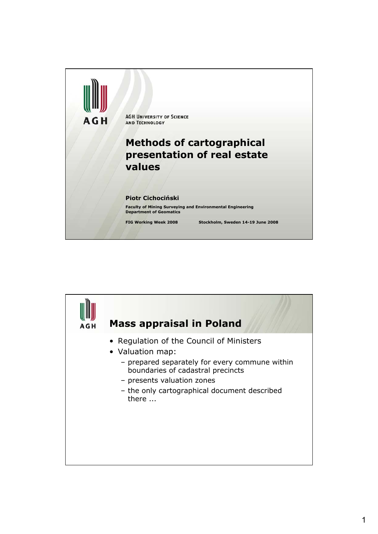

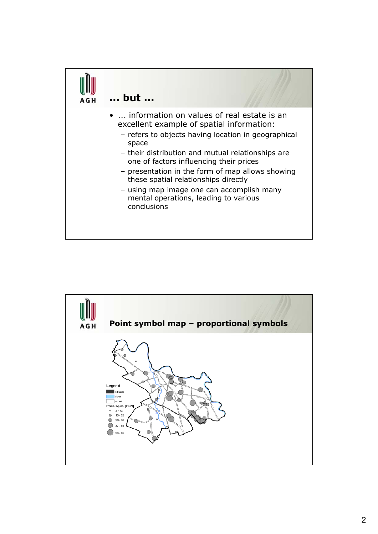

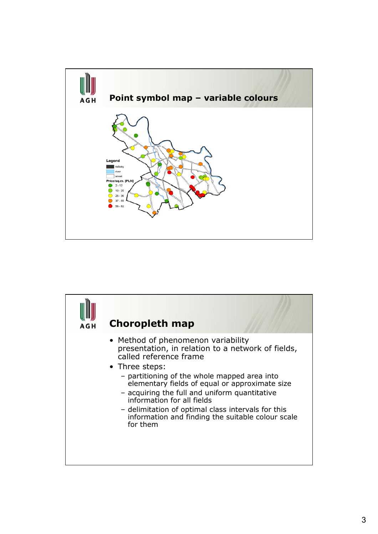

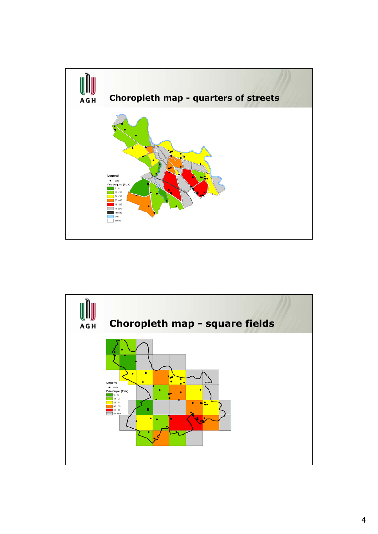

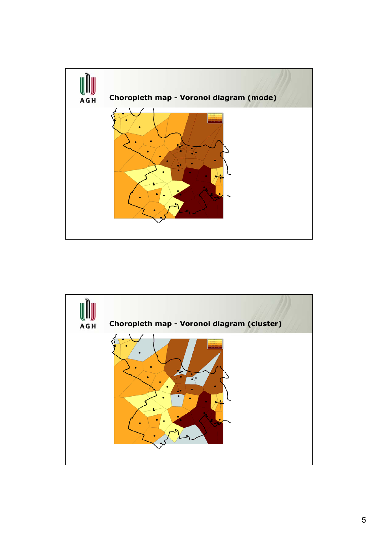

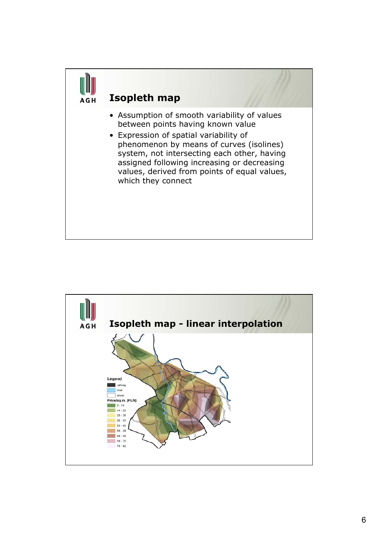

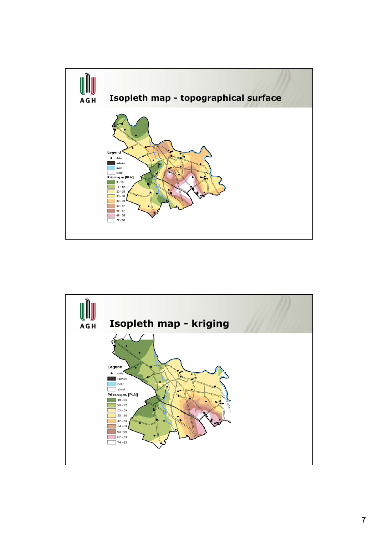